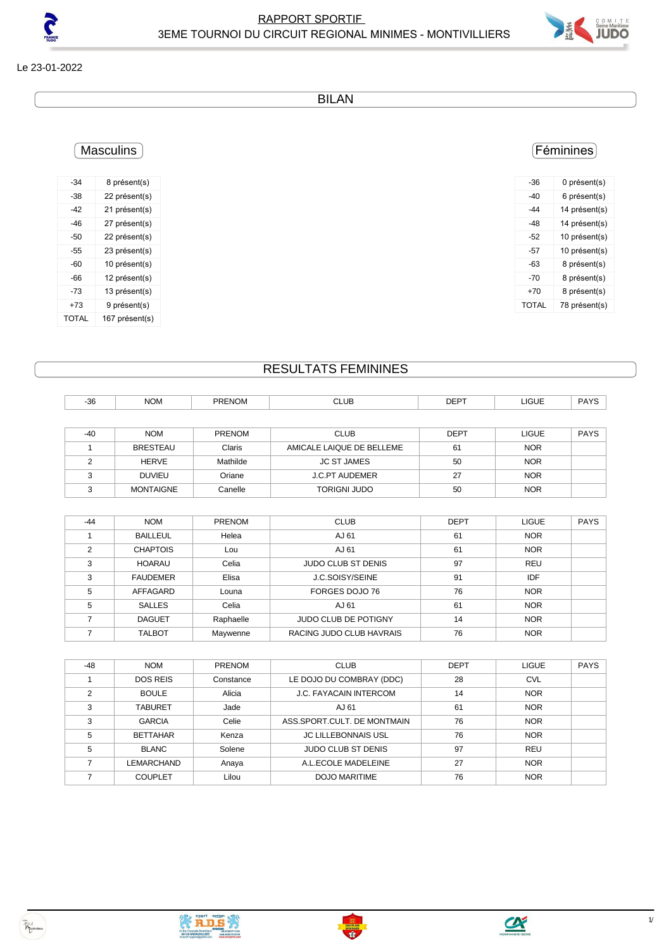

Le 23-01-2022

BILAN

### **Masculins**

| $-34$        | 8 présent(s)   |
|--------------|----------------|
| -38          | 22 présent(s)  |
| -42          | 21 présent(s)  |
| -46          | 27 présent(s)  |
| -50          | 22 présent(s)  |
| -55          | 23 présent(s)  |
| -60          | 10 présent(s)  |
| -66          | 12 présent(s)  |
| -73          | 13 présent(s)  |
| +73          | 9 présent(s)   |
| <b>TOTAL</b> | 167 présent(s) |

#### Féminines

| -36   | 0 présent(s)  |
|-------|---------------|
| -40   | 6 présent(s)  |
| -44   | 14 présent(s) |
| -48   | 14 présent(s) |
| -52   | 10 présent(s) |
| -57   | 10 présent(s) |
| -63   | 8 présent(s)  |
| -70   | 8 présent(s)  |
| +70   | 8 présent(s)  |
| TOTAI | 78 présent(s) |
|       |               |

#### RESULTATS FEMININES

| $-36$ | <b>NOM</b>       | PRENOM        | <b>CLUB</b>               | <b>DEPT</b> | LIGUE        | <b>PAYS</b> |
|-------|------------------|---------------|---------------------------|-------------|--------------|-------------|
|       |                  |               |                           |             |              |             |
| $-40$ | <b>NOM</b>       | <b>PRENOM</b> | <b>CLUB</b>               | <b>DEPT</b> | <b>LIGUE</b> | <b>PAYS</b> |
|       | <b>BRESTEAU</b>  | Claris        | AMICALE LAIQUE DE BELLEME | 61          | <b>NOR</b>   |             |
| C     | <b>HERVE</b>     | Mathilde      | <b>JC ST JAMES</b>        | 50          | <b>NOR</b>   |             |
| ົ     | <b>DUVIEU</b>    | Oriane        | <b>J.C.PT AUDEMER</b>     | 27          | <b>NOR</b>   |             |
|       | <b>MONTAIGNE</b> | Canelle       | <b>TORIGNI JUDO</b>       | 50          | <b>NOR</b>   |             |

| $-44$ | <b>NOM</b>      | <b>PRENOM</b> | <b>CLUB</b>                 | <b>DEPT</b> | <b>LIGUE</b> | <b>PAYS</b> |
|-------|-----------------|---------------|-----------------------------|-------------|--------------|-------------|
|       | <b>BAILLEUL</b> | Helea         | AJ 61                       | 61          | <b>NOR</b>   |             |
| 2     | <b>CHAPTOIS</b> | Lou           | AJ 61                       | 61          | <b>NOR</b>   |             |
| 3     | <b>HOARAU</b>   | Celia         | <b>JUDO CLUB ST DENIS</b>   | 97          | <b>REU</b>   |             |
| 3     | <b>FAUDEMER</b> | Elisa         | J.C.SOISY/SEINE             | 91          | IDF          |             |
| 5     | AFFAGARD        | Louna         | FORGES DOJO 76              | 76          | <b>NOR</b>   |             |
| 5     | <b>SALLES</b>   | Celia         | AJ 61                       | 61          | <b>NOR</b>   |             |
|       | <b>DAGUET</b>   | Raphaelle     | <b>JUDO CLUB DE POTIGNY</b> | 14          | <b>NOR</b>   |             |
|       | <b>TALBOT</b>   | Maywenne      | RACING JUDO CLUB HAVRAIS    | 76          | <b>NOR</b>   |             |

| $-48$ | <b>NOM</b>      | <b>PRENOM</b> | <b>CLUB</b>                 | <b>DEPT</b> | <b>LIGUE</b> | <b>PAYS</b> |
|-------|-----------------|---------------|-----------------------------|-------------|--------------|-------------|
|       | <b>DOS REIS</b> | Constance     | LE DOJO DU COMBRAY (DDC)    | 28          | <b>CVL</b>   |             |
| ◠     | <b>BOULE</b>    | Alicia        | J.C. FAYACAIN INTERCOM      | 14          | <b>NOR</b>   |             |
| 3     | <b>TABURET</b>  | Jade          | AJ 61                       | 61          | <b>NOR</b>   |             |
| 3     | <b>GARCIA</b>   | Celie         | ASS.SPORT.CULT. DE MONTMAIN | 76          | <b>NOR</b>   |             |
| 5     | <b>BETTAHAR</b> | Kenza         | <b>JC LILLEBONNAIS USL</b>  | 76          | <b>NOR</b>   |             |
| 5     | BLANC           | Solene        | <b>JUDO CLUB ST DENIS</b>   | 97          | <b>REU</b>   |             |
|       | LEMARCHAND      | Anaya         | A.L.ECOLE MADELEINE         | 27          | <b>NOR</b>   |             |
|       | <b>COUPLET</b>  | Lilou         | <b>DOJO MARITIME</b>        | 76          | <b>NOR</b>   |             |



**CAN SERIES**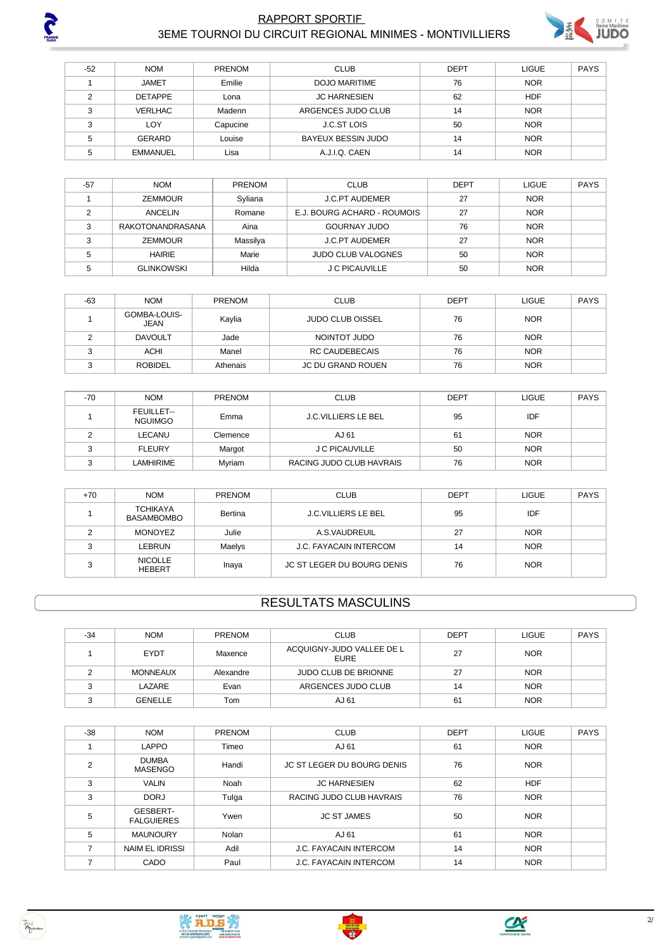

#### RAPPORT SPORTIF **2001 NOVEMBER 1999 AND ACCOUNT REGIONAL MINIMES** - MONTIVILLIERS 3EME TOURNOI DU CIRCUIT REGIONAL MINIMES - MONTIVILLIERS



| $-52$        | <b>NOM</b>      | <b>PRENOM</b> | <b>CLUB</b>               | <b>DEPT</b> | <b>LIGUE</b> | <b>PAYS</b> |
|--------------|-----------------|---------------|---------------------------|-------------|--------------|-------------|
|              | <b>JAMET</b>    | Emilie        | DOJO MARITIME             | 76          | <b>NOR</b>   |             |
| ◠            | <b>DETAPPE</b>  | Lona          | <b>JC HARNESIEN</b>       | 62          | <b>HDF</b>   |             |
| ົ            | <b>VERLHAC</b>  | Madenn        | ARGENCES JUDO CLUB        | 14          | <b>NOR</b>   |             |
| $\sim$<br>د، | LOY             | Capucine      | <b>J.C.ST LOIS</b>        | 50          | <b>NOR</b>   |             |
|              | <b>GERARD</b>   | Louise        | <b>BAYEUX BESSIN JUDO</b> | 14          | <b>NOR</b>   |             |
|              | <b>EMMANUEL</b> | Lisa          | A.J.I.Q. CAEN             | 14          | <b>NOR</b>   |             |

| $-57$ | <b>NOM</b>        | <b>PRENOM</b> | <b>CLUB</b>                 | <b>DEPT</b> | <b>LIGUE</b> | <b>PAYS</b> |
|-------|-------------------|---------------|-----------------------------|-------------|--------------|-------------|
|       | <b>ZEMMOUR</b>    | Syliana       | <b>J.C.PT AUDEMER</b>       | 27          | <b>NOR</b>   |             |
|       | ANCELIN           | Romane        | E.J. BOURG ACHARD - ROUMOIS | 27          | <b>NOR</b>   |             |
| ົ     | RAKOTONANDRASANA  | Aina          | GOURNAY JUDO                | 76          | <b>NOR</b>   |             |
| ົ     | <b>ZEMMOUR</b>    | Massilya      | <b>J.C.PT AUDEMER</b>       | 27          | <b>NOR</b>   |             |
|       | <b>HAIRIE</b>     | Marie         | <b>JUDO CLUB VALOGNES</b>   | 50          | <b>NOR</b>   |             |
|       | <b>GLINKOWSKI</b> | Hilda         | J C PICAUVILLE              | 50          | <b>NOR</b>   |             |

| $-63$ | <b>NOM</b>           | <b>PRENOM</b> | <b>CLUB</b>             | <b>DEPT</b> | <b>LIGUE</b> | <b>PAYS</b> |
|-------|----------------------|---------------|-------------------------|-------------|--------------|-------------|
|       | GOMBA-LOUIS-<br>JEAN | Kaylia        | <b>JUDO CLUB OISSEL</b> | 76          | <b>NOR</b>   |             |
|       | <b>DAVOULT</b>       | Jade          | NOINTOT JUDO            | 76          | <b>NOR</b>   |             |
|       | ACHI                 | Manel         | <b>RC CAUDEBECAIS</b>   | 76          | <b>NOR</b>   |             |
|       | <b>ROBIDEL</b>       | Athenais      | JC DU GRAND ROUEN       | 76          | <b>NOR</b>   |             |

| $-70$ | <b>NOM</b>                          | PRENOM   | <b>CLUB</b>                | <b>DEPT</b> | <b>LIGUE</b> | <b>PAYS</b> |
|-------|-------------------------------------|----------|----------------------------|-------------|--------------|-------------|
|       | <b>FEUILLET--</b><br><b>NGUIMGO</b> | Emma     | <b>J.C.VILLIERS LE BEL</b> | 95          | IDF          |             |
|       | LECANU                              | Clemence | AJ 61                      | 61          | <b>NOR</b>   |             |
| ົ     | <b>FLEURY</b>                       | Margot   | J C PICAUVILLE             | 50          | <b>NOR</b>   |             |
|       | LAMHIRIME                           | Myriam   | RACING JUDO CLUB HAVRAIS   | 76          | <b>NOR</b>   |             |

| $+70$ | <b>NOM</b>                           | <b>PRENOM</b> | <b>CLUB</b>                   | <b>DEPT</b> | <b>LIGUE</b> | <b>PAYS</b> |
|-------|--------------------------------------|---------------|-------------------------------|-------------|--------------|-------------|
|       | <b>TCHIKAYA</b><br><b>BASAMBOMBO</b> | Bertina       | <b>J.C.VILLIERS LE BEL</b>    | 95          | IDF          |             |
|       | MONOYEZ                              | Julie         | A.S.VAUDREUIL                 | 27          | <b>NOR</b>   |             |
|       | LEBRUN                               | Maelys        | <b>J.C. FAYACAIN INTERCOM</b> | 14          | <b>NOR</b>   |             |
|       | <b>NICOLLE</b><br><b>HEBERT</b>      | Inaya         | JC ST LEGER DU BOURG DENIS    | 76          | <b>NOR</b>   |             |

## RESULTATS MASCULINS

| $-34$ | <b>NOM</b>      | <b>PRENOM</b> | <b>CLUB</b>                              | <b>DEPT</b> | LIGUE      | <b>PAYS</b> |
|-------|-----------------|---------------|------------------------------------------|-------------|------------|-------------|
|       | <b>EYDT</b>     | Maxence       | ACQUIGNY-JUDO VALLEE DE L<br><b>EURE</b> | 27          | <b>NOR</b> |             |
|       | <b>MONNEAUX</b> | Alexandre     | <b>JUDO CLUB DE BRIONNE</b>              | 27          | <b>NOR</b> |             |
|       | LAZARE          | Evan          | ARGENCES JUDO CLUB                       | 14          | <b>NOR</b> |             |
|       | GENELLE         | Tom           | AJ 61                                    | 61          | <b>NOR</b> |             |

| $-38$          | <b>NOM</b>                     | PRENOM | <b>CLUB</b>                   | <b>DEPT</b> | <b>LIGUE</b> | <b>PAYS</b> |
|----------------|--------------------------------|--------|-------------------------------|-------------|--------------|-------------|
|                | <b>LAPPO</b>                   | Timeo  | AJ 61                         | 61          | <b>NOR</b>   |             |
| $\overline{2}$ | <b>DUMBA</b><br><b>MASENGO</b> | Handi  | JC ST LEGER DU BOURG DENIS    | 76          | <b>NOR</b>   |             |
| 3              | <b>VALIN</b>                   | Noah   | <b>JC HARNESIEN</b>           | 62          | <b>HDF</b>   |             |
| 3              | <b>DORJ</b>                    | Tulga  | RACING JUDO CLUB HAVRAIS      | 76          | <b>NOR</b>   |             |
| 5              | GESBERT-<br><b>FALGUIERES</b>  | Ywen   | <b>JC ST JAMES</b>            | 50          | <b>NOR</b>   |             |
| 5              | <b>MAUNOURY</b>                | Nolan  | AJ 61                         | 61          | <b>NOR</b>   |             |
|                | <b>NAIM EL IDRISSI</b>         | Adil   | <b>J.C. FAYACAIN INTERCOM</b> | 14          | <b>NOR</b>   |             |
|                | CADO                           | Paul   | <b>J.C. FAYACAIN INTERCOM</b> | 14          | <b>NOR</b>   |             |



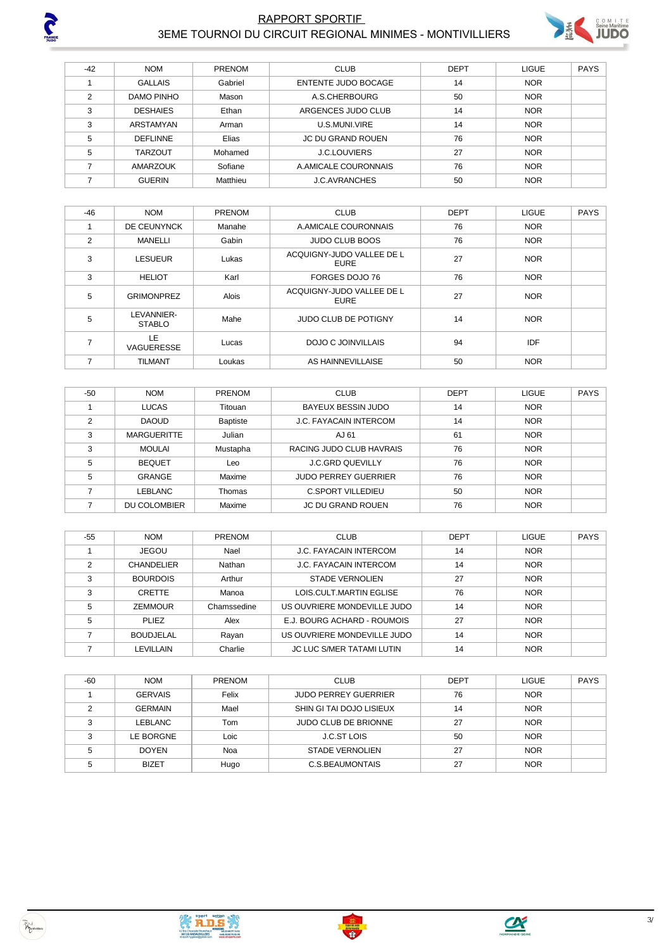

 $\Gamma$ 

# RAPPORT SPORTIF **2001 AND TO A SUBSERVERTIES**



|     |               | 3 EME TOURNOI DU CIRCUIT REGIONAL MINIMES - MONTIVILLIERS |             |        |
|-----|---------------|-----------------------------------------------------------|-------------|--------|
|     |               |                                                           |             |        |
| NOM | <b>DDENOM</b> | C11D                                                      | <b>DEDT</b> | $\sim$ |

| $-42$ | <b>NOM</b>      | <b>PRENOM</b> | <b>CLUB</b>                | <b>DEPT</b> | LIGUE      | <b>PAYS</b> |
|-------|-----------------|---------------|----------------------------|-------------|------------|-------------|
|       | <b>GALLAIS</b>  | Gabriel       | <b>ENTENTE JUDO BOCAGE</b> | 14          | <b>NOR</b> |             |
|       | DAMO PINHO      | Mason         | A.S.CHERBOURG              | 50          | <b>NOR</b> |             |
|       | <b>DESHAIES</b> | Ethan         | ARGENCES JUDO CLUB         | 14          | <b>NOR</b> |             |
|       | ARSTAMYAN       | Arman         | U.S.MUNI.VIRE              | 14          | <b>NOR</b> |             |
| 5     | <b>DEFLINNE</b> | Elias         | <b>JC DU GRAND ROUEN</b>   | 76          | <b>NOR</b> |             |
| 5     | <b>TARZOUT</b>  | Mohamed       | <b>J.C.LOUVIERS</b>        | 27          | <b>NOR</b> |             |
|       | <b>AMARZOUK</b> | Sofiane       | A.AMICALE COURONNAIS       | 76          | <b>NOR</b> |             |
|       | <b>GUERIN</b>   | Matthieu      | <b>J.C.AVRANCHES</b>       | 50          | <b>NOR</b> |             |

| $-46$ | <b>NOM</b>                  | <b>PRENOM</b> | <b>CLUB</b>                       | <b>DEPT</b> | <b>LIGUE</b> | <b>PAYS</b> |
|-------|-----------------------------|---------------|-----------------------------------|-------------|--------------|-------------|
|       | DE CEUNYNCK                 | Manahe        | A.AMICALE COURONNAIS              | 76          | <b>NOR</b>   |             |
| 2     | <b>MANELLI</b>              | Gabin         | <b>JUDO CLUB BOOS</b>             | 76          | <b>NOR</b>   |             |
| 3     | <b>LESUEUR</b>              | Lukas         | ACQUIGNY-JUDO VALLEE DE L<br>EURE | 27          | <b>NOR</b>   |             |
| 3     | <b>HELIOT</b>               | Karl          | FORGES DOJO 76                    | 76          | <b>NOR</b>   |             |
| 5     | <b>GRIMONPREZ</b>           | Alois         | ACQUIGNY-JUDO VALLEE DE L<br>EURE | 27          | <b>NOR</b>   |             |
| 5     | LEVANNIER-<br><b>STABLO</b> | Mahe          | <b>JUDO CLUB DE POTIGNY</b>       | 14          | <b>NOR</b>   |             |
| 7     | LE<br>VAGUERESSE            | Lucas         | DOJO C JOINVILLAIS                | 94          | IDF          |             |
| 7     | <b>TILMANT</b>              | Loukas        | AS HAINNEVILLAISE                 | 50          | <b>NOR</b>   |             |

| $-50$ | <b>NOM</b>         | <b>PRENOM</b>   | <b>CLUB</b>                   | <b>DEPT</b> | <b>LIGUE</b> | <b>PAYS</b> |
|-------|--------------------|-----------------|-------------------------------|-------------|--------------|-------------|
|       | <b>LUCAS</b>       | Titouan         | BAYEUX BESSIN JUDO            | 14          | <b>NOR</b>   |             |
| ◠     | <b>DAOUD</b>       | <b>Baptiste</b> | <b>J.C. FAYACAIN INTERCOM</b> | 14          | <b>NOR</b>   |             |
| 3     | <b>MARGUERITTE</b> | Julian          | AJ 61                         | 61          | <b>NOR</b>   |             |
| 3     | <b>MOULAI</b>      | Mustapha        | RACING JUDO CLUB HAVRAIS      | 76          | <b>NOR</b>   |             |
| 5     | <b>BEQUET</b>      | Leo             | <b>J.C.GRD QUEVILLY</b>       | 76          | <b>NOR</b>   |             |
| 5     | <b>GRANGE</b>      | Maxime          | <b>JUDO PERREY GUERRIER</b>   | 76          | <b>NOR</b>   |             |
|       | LEBLANC            | Thomas          | <b>C.SPORT VILLEDIEU</b>      | 50          | <b>NOR</b>   |             |
|       | DU COLOMBIER       | Maxime          | JC DU GRAND ROUEN             | 76          | <b>NOR</b>   |             |

| $-55$ | <b>NOM</b>        | <b>PRENOM</b> | <b>CLUB</b>                   | <b>DEPT</b> | <b>LIGUE</b> | <b>PAYS</b> |
|-------|-------------------|---------------|-------------------------------|-------------|--------------|-------------|
|       | <b>JEGOU</b>      | Nael          | <b>J.C. FAYACAIN INTERCOM</b> | 14          | <b>NOR</b>   |             |
| 2     | <b>CHANDELIER</b> | Nathan        | <b>J.C. FAYACAIN INTERCOM</b> | 14          | <b>NOR</b>   |             |
| 3     | <b>BOURDOIS</b>   | Arthur        | STADE VERNOLIEN               | 27          | <b>NOR</b>   |             |
| 3     | <b>CRETTE</b>     | Manoa         | LOIS.CULT.MARTIN EGLISE       | 76          | <b>NOR</b>   |             |
| 5     | <b>ZEMMOUR</b>    | Chamssedine   | US OUVRIERE MONDEVILLE JUDO   | 14          | <b>NOR</b>   |             |
| 5     | PLIF <sub>7</sub> | Alex          | E.J. BOURG ACHARD - ROUMOIS   | 27          | <b>NOR</b>   |             |
|       | <b>BOUDJELAL</b>  | Rayan         | US OUVRIERE MONDEVILLE JUDO   | 14          | <b>NOR</b>   |             |
|       | LEVILLAIN         | Charlie       | JC LUC S/MER TATAMI LUTIN     | 14          | <b>NOR</b>   |             |

| $-60$ | <b>NOM</b>     | <b>PRENOM</b> | <b>CLUB</b>                 | <b>DEPT</b> | <b>LIGUE</b> | <b>PAYS</b> |
|-------|----------------|---------------|-----------------------------|-------------|--------------|-------------|
|       | <b>GERVAIS</b> | Felix         | <b>JUDO PERREY GUERRIER</b> | 76          | <b>NOR</b>   |             |
| C     | <b>GERMAIN</b> | Mael          | SHIN GI TAI DOJO LISIEUX    | 14          | <b>NOR</b>   |             |
| ົ     | <b>LEBLANC</b> | Tom           | <b>JUDO CLUB DE BRIONNE</b> | 27          | <b>NOR</b>   |             |
| ◠     | LE BORGNE      | Loic          | J.C.ST LOIS                 | 50          | <b>NOR</b>   |             |
|       | <b>DOYEN</b>   | Noa           | <b>STADE VERNOLIEN</b>      | 27          | <b>NOR</b>   |             |
|       | <b>BIZET</b>   | Hugo          | C.S. BEAUMONTAIS            | 27          | <b>NOR</b>   |             |

**EXECUTIVE SERVICE** 



 $\begin{pmatrix} \frac{1}{2} & \frac{1}{2} & \frac{1}{2} & \frac{1}{2} & \frac{1}{2} & \frac{1}{2} & \frac{1}{2} & \frac{1}{2} \\ \frac{1}{2} & \frac{1}{2} & \frac{1}{2} & \frac{1}{2} & \frac{1}{2} & \frac{1}{2} & \frac{1}{2} & \frac{1}{2} \\ \frac{1}{2} & \frac{1}{2} & \frac{1}{2} & \frac{1}{2} & \frac{1}{2} & \frac{1}{2} & \frac{1}{2} & \frac{1}{2} & \frac{1}{2} \\ \frac{1}{2} & \frac{1}{2$